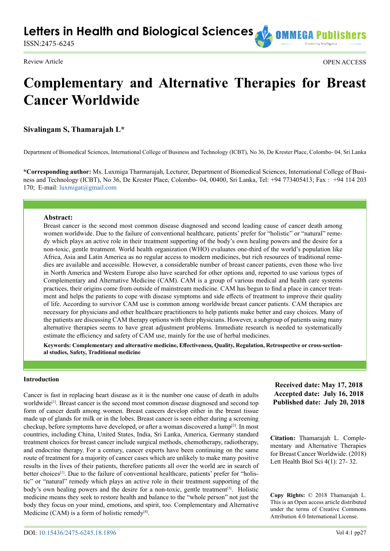**Letters in Health and Biological Sciences COMMEGA PI** 

ISSN:2475-6245

Review Article OPEN ACCESS

# **Complementary and Alternative Therapies for Breast Cancer Worldwide**

**Sivalingam S, Thamarajah L\***

Department of Biomedical Sciences, International College of Business and Technology (ICBT), No 36, De Krester Place, Colombo- 04, Sri Lanka

**\*Corresponding author:** Ms. Luxmiga Tharmarajah, Lecturer, Department of Biomedical Sciences, International College of Business and Technology (ICBT), No 36, De Krester Place, Colombo- 04, 00400, Sri Lanka, Tel: +94 773405413; Fax : +94 114 203 170; E-mail: [luxmigat@gmail.com](mailto:luxmigat@gmail.com)

## **Abstract:**

Breast cancer is the second most common disease diagnosed and second leading cause of cancer death among women worldwide. Due to the failure of conventional healthcare, patients' prefer for "holistic" or "natural" remedy which plays an active role in their treatment supporting of the body's own healing powers and the desire for a non-toxic, gentle treatment. World health organization (WHO) evaluates one-third of the world's population like Africa, Asia and Latin America as no regular access to modern medicines, but rich resources of traditional remedies are available and accessible. However, a considerable number of breast cancer patients, even those who live in North America and Western Europe also have searched for other options and, reported to use various types of Complementary and Alternative Medicine (CAM). CAM is a group of various medical and health care systems practices, their origins come from outside of mainstream medicine. CAM has begun to find a place in cancer treatment and helps the patients to cope with disease symptoms and side effects of treatment to improve their quality of life. According to survivor CAM use is common among worldwide breast cancer patients. CAM therapies are necessary for physicians and other healthcare practitioners to help patients make better and easy choices. Many of the patients are discussing CAM therapy options with their physicians. However, a subgroup of patients using many alternative therapies seems to have great adjustment problems. Immediate research is needed to systematically estimate the efficiency and safety of CAM use, mainly for the use of herbal medicines.

**Keywords: Complementary and alternative medicine, Effectiveness, Quality, Regulation, Retrospective or cross-sectional studies, Safety, Traditional medicine**

#### **Introduction**

Cancer is fast in replacing heart disease as it is the number one cause of death in adults worldwide<sup>[1]</sup>. Breast cancer is the second most common disease diagnosed and second top form of cancer death among women. Breast cancers develop either in the breast tissue made up of glands for milk or in the lobes. Breast cancer is seen either during a screening checkup, before symptoms have developed, or after a woman discovered a lump<sup>[2]</sup>. In most countries, including China, United States, India, Sri Lanka, America, Germany standard treatment choices for breast cancer include surgical methods, chemotherapy, radiotherapy, and endocrine therapy. For a century, cancer experts have been continuing on the same route of treatment for a majority of cancer cases which are unlikely to make many positive results in the lives of their patients, therefore patients all over the world are in search of better choices<sup>[\[1\]](#page-5-0)</sup>. Due to the failure of conventional healthcare, patients' prefer for "holistic" or "natural" remedy which plays an active role in their treatment supporting of the body's own healing powers and the desire for a non-toxic, gentle treatment<sup>[3]</sup>. Holistic medicine means they seek to restore health and balance to the "whole person" not just the body they focus on your mind, emotions, and spirit, too. Complementary and Alternative Medicine (CAM) is a form of holistic remedy $[4]$ .

**Citation:** Thamarajah L. Complementary and Alternative Therapies for Breast Cancer Worldwide. (2018)

> **Copy Rights:** © 2018 Thamarajah L. This is an Open access article distributed under the terms of Creative Commons Attribution 4.0 International License.

Lett Health Biol Sci 4(1): 27- 32.

**Received date: May 17, 2018 Accepted date: July 16, 2018 Published date: July 20, 2018**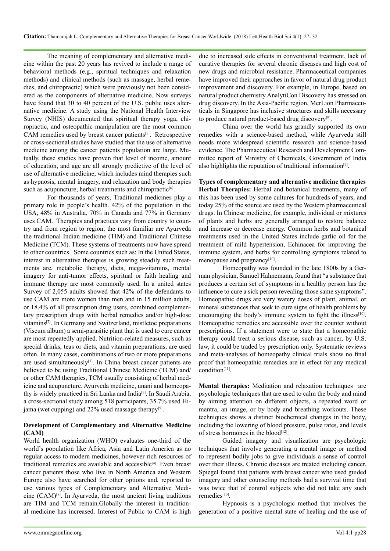The meaning of complementary and alternative medicine within the past 20 years has revived to include a range of behavioral methods (e.g., spiritual techniques and relaxation methods) and clinical methods (such as massage, herbal remedies, and chiropractic) which were previously not been considered as the components of alternative medicine. Now surveys have found that 30 to 40 percent of the U.S. public uses alternative medicine. A study using the National Health Interview Survey (NHIS) documented that spiritual therapy yoga, chiropractic, and osteopathic manipulation are the most common CAM remedies used by breast cancer patients<sup>[\[5\]](#page-5-4)</sup>. Retrospective or cross-sectional studies have studied that the use of alternative medicine among the cancer patients population are large. Mutually, these studies have proven that level of income, amount of education, and age are all strongly predictive of the level of use of alternative medicine, which includes mind therapies such as hypnosis, mental imagery, and relaxation and body therapies such as acupuncture, herbal treatments and chiropractic<sup>[6]</sup>.

For thousands of years, Traditional medicines play a primary role in people's health. 42% of the population in the USA, 48% in Australia, 70% in Canada and 77% in Germany uses CAM. Therapies and practices vary from country to country and from region to region, the most familiar are Ayurveda the traditional Indian medicine (TIM) and Traditional Chinese Medicine (TCM). These systems of treatments now have spread to other countries. Some countries such as: In the United States, interest in alternative therapies is growing steadily such treatments are, metabolic therapy, diets, mega-vitamins, mental imagery for anti-tumor effects, spiritual or faith healing and immune therapy are most commonly used. In a united states Survey of 2,055 adults showed that 42% of the defendants to use CAM are more women than men and in 15 million adults, or 18.4% of all prescription drug users, combined complementary prescription drugs with herbal remedies and/or high-dose vitamin[s\[7\]](#page-5-6). In Germany and Switzerland, mistletoe preparations (Viscum album) a semi-parasitic plant that is used to cure cancer are most repeatedly applied. Nutrition-related measures, such as special drinks, teas or diets, and vitamin preparations, are used often. In many cases, combinations of two or more preparations are used simultaneously<sup>[\[3\]](#page-5-2)</sup>. In China breast cancer patients are believed to be using Traditional Chinese Medicine (TCM) and/ or other CAM therapies, TCM usually consisting of herbal medicine and acupuncture. Ayurveda medicine, unani and homeopathy is widely practiced in Sri Lanka and India[\[8\].](#page-5-7) In Saudi Arabia, a cross-sectional study among 518 participants, 35.7% used Hijama (wet cupping) and 22% used massage therapy<sup>[5]</sup>.

## **Development of Complementary and Alternative Medicine (CAM)**

World health organization (WHO) evaluates one-third of the world's population like Africa, Asia and Latin America as no regular access to modern medicines, however rich resources of traditional remedies are available and accessible<sup>[4]</sup>. Even breast cancer patients those who live in North America and Western Europe also have searched for other options and, reported to use various types of Complementary and Alternative Medicine (CAM)[\[8\].](#page-5-7) In Ayurveda, the most ancient living traditions are TIM and TCM remain.Globally the interest in traditional medicine has increased. Interest of Public to CAM is high due to increased side effects in conventional treatment, lack of curative therapies for several chronic diseases and high cost of new drugs and microbial resistance. Pharmaceutical companies have improved their approaches in favor of natural drug product improvement and discovery. For example, in Europe, based on natural product chemistry AnalytiCon Discovery has stressed on drug discovery. In the Asia-Pacific region, MerLion Pharmaceuticals in Singapore has inclusive structures and skills necessary to produce natural product-based drug discovery<sup>[9]</sup>.

China over the world has grandly supported its own remedies with a science-based method, while Ayurveda still needs more widespread scientific research and science-based evidence. The Pharmaceutical Research and Development Committee report of Ministry of Chemicals, Government of India also highlights the reputation of traditional information<sup>[9]</sup>.

**Types of complementary and alternative medicine therapies Herbal Therapies:** Herbal and botanical treatments, many of this has been used by some cultures for hundreds of years, and today 25% of the source are used by the Western pharmaceutical drugs. In Chinese medicine, for example, individual or mixtures of plants and herbs are generally arranged to restore balance and increase or decrease energy. Common herbs and botanical treatments used in the United States include garlic oil for the treatment of mild hypertension, Echinacea for improving the immune system, and herbs for controlling symptoms related to menopause and pregnancy[\[10\]](#page-5-9).

Homeopathy was founded in the late 1800s by a German physician, Samuel Hahnemann, found that "a substance that produces a certain set of symptoms in a healthy person has the influence to cure a sick person revealing those same symptoms". Homeopathic drugs are very watery doses of plant, animal, or mineral substances that seek to cure signs of health problems by encouraging the body's immune system to fight the illness<sup>[10]</sup>. Homeopathic remedies are accessible over the counter without prescriptions. If a statement were to state that a homeopathic therapy could treat a serious disease, such as cancer, by U.S. law, it could be traded by prescription only. Systematic reviews and meta-analyses of homeopathy clinical trials show no final proof that homeopathic remedies are in effect for any medical condition<sup>[11]</sup>.

**Mental therapies:** Meditation and relaxation techniques are psychologic techniques that are used to calm the body and mind by aiming attention on different objects, a repeated word or mantra, an image, or by body and breathing workouts. These techniques shows a distinct biochemical changes in the body, including the lowering of blood pressure, pulse rates, and levels of stress hormones in the blood<sup>[12]</sup>.

Guided imagery and visualization are psychologic techniques that involve generating a mental image or method to represent bodily jobs to give individuals a sense of control over their illness. Chronic diseases are treated including cancer. Spiegel found that patients with breast cancer who used guided imagery and other counseling methods had a survival time that was twice that of control subjects who did not take any such remedies[\[10\]](#page-5-9).

Hypnosis is a psychologic method that involves the generation of a positive mental state of healing and the use of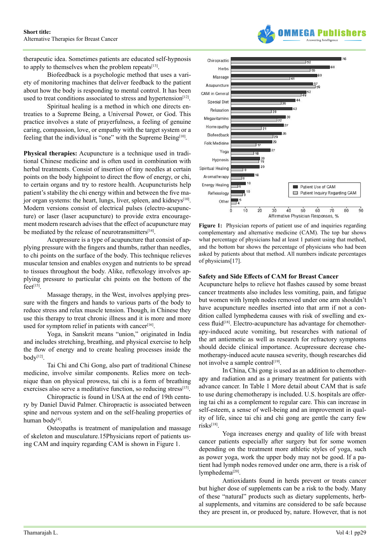therapeutic idea. Sometimes patients are educated self-hypnosis to apply to themselves when the problem repeats $[13]$ .

Biofeedback is a psychologic method that uses a variety of monitoring machines that deliver feedback to the patient about how the body is responding to mental control. It has been used to treat conditions associated to stress and hypertension<sup>[\[12\]](#page-5-11)</sup>.

Spiritual healing is a method in which one directs entreaties to a Supreme Being, a Universal Power, or God. This practice involves a state of prayerfulness, a feeling of genuine caring, compassion, love, or empathy with the target system or a feeling that the individual is "one" with the Supreme Being<sup>[10]</sup>.

**Physical therapies:** Acupuncture is a technique used in traditional Chinese medicine and is often used in combination with herbal treatments. Consist of insertion of tiny needles at certain points on the body highpoint to direct the flow of energy, or chi, to certain organs and try to restore health. Acupuncturists help patient's stability the chi energy within and between the five major organ systems: the heart, lungs, liver, spleen, and kidneys<sup>[10]</sup>. Modern versions consist of electrical pulses (electro-acupuncture) or laser (laser acupuncture) to provide extra encouragement modern research advises that the effect of acupuncture may be mediated by the release of neurotransmitters<sup>[14]</sup>.

Acupressure is a type of acupuncture that consist of applying pressure with the fingers and thumbs, rather than needles, to chi points on the surface of the body. This technique relieves muscular tension and enables oxygen and nutrients to be spread to tissues throughout the body. Alike, reflexology involves applying pressure to particular chi points on the bottom of the  $f$ eet $[15]$ .

Massage therapy, in the West, involves applying pressure with the fingers and hands to various parts of the body to reduce stress and relax muscle tension. Though, in Chinese they use this therapy to treat chronic illness and it is more and more used for symptom relief in patients with cancer<sup>[\[16\]](#page-5-15)</sup>.

Yoga, in Sanskrit means "union," originated in India and includes stretching, breathing, and physical exercise to help the flow of energy and to create healing processes inside the body[\[12\].](#page-5-11)

Tai Chi and Chi Gong, also part of traditional Chinese medicine, involve similar components. Relies more on technique than on physical prowess, tai chi is a form of breathing exercises also serve a meditative function, so reducing stress<sup>[15]</sup>.

Chiropractic is found in USA at the end of 19th century by Daniel David Palmer. Chiropractic is associated between spine and nervous system and on the self-healing properties of human body<sup>[4]</sup>.

Osteopaths is treatment of manipulation and massage of skeleton and musculature.15Physicians report of patients using CAM and inquiry regarding CAM is shown in Figure 1.



**Figure 1:** Physician reports of patient use of and inquiries regarding complementary and alternative medicine (CAM). The top bar shows what percentage of physicians had at least 1 patient using that method, and the bottom bar shows the percentage of physicians who had been asked by patients about that method. All numbers indicate percentages of physicians[17].

#### **Safety and Side Effects of CAM for Breast Cancer**

Acupuncture helps to relieve hot flashes caused by some breast cancer treatments also includes less vomiting, pain, and fatigue but women with lymph nodes removed under one arm shouldn't have acupuncture needles inserted into that arm if not a condition called lymphedema causes with risk of swelling and ex-cess fluid<sup>[\[18\]](#page-5-16)</sup>. Electro-acupuncture has advantage for chemotherapy-induced acute vomiting, but researches with national of the art antiemetic as well as research for refractory symptoms should decide clinical importance. Acupressure decrease chemotherapy-induced acute nausea severity, though researches did not involve a sample control<sup>[\[19\]](#page-5-17)</sup>.

In China, Chi gong is used as an addition to chemotherapy and radiation and as a primary treatment for patients with advance cancer. In Table 1 More detail about CAM that is safe to use during chemotherapy is included. U.S. hospitals are offering tai chi as a complement to regular care. This can increase in self-esteem, a sense of well-being and an improvement in quality of life, since tai chi and chi gong are gentle the carry few risks<sup>[\[18\]](#page-5-16)</sup>.

Yoga increases energy and quality of life with breast cancer patients especially after surgery but for some women depending on the treatment more athletic styles of yoga, such as power yoga, work the upper body may not be good. If a patient had lymph nodes removed under one arm, there is a risk of lymphedema<sup>[20]</sup>.

Antioxidants found in herds prevent or treats cancer but higher dose of supplements can be a risk to the body. Many of these "natural" products such as dietary supplements, herbal supplements, and vitamins are considered to be safe because they are present in, or produced by, nature. However, that is not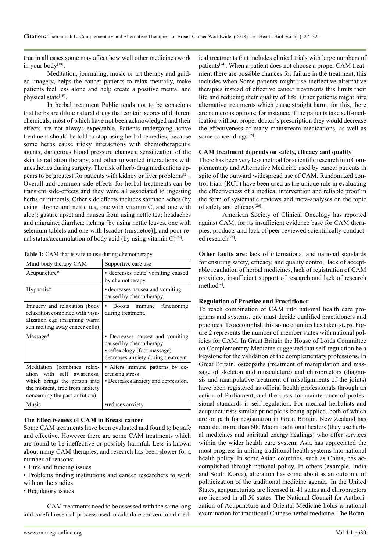true in all cases some may affect how well other medicines work in your body<sup>[18]</sup>.

Meditation, journaling, music or art therapy and guided imagery, helps the cancer patients to relax mentally, make patients feel less alone and help create a positive mental and physical state<sup>[18]</sup>.

In herbal treatment Public tends not to be conscious that herbs are dilute natural drugs that contain scores of different chemicals, most of which have not been acknowledged and their effects are not always expectable. Patients undergoing active treatment should be told to stop using herbal remedies, because some herbs cause tricky interactions with chemotherapeutic agents, dangerous blood pressure changes, sensitization of the skin to radiation therapy, and other unwanted interactions with anesthetics during surgery. The risk of herb-drug medications appears to be greatest for patients with kidney or liver problem[s\[21\]](#page-5-19). Overall and common side effects for herbal treatments can be transient side-effects and they were all associated to ingesting herbs or minerals. Other side effects includes stomach aches (by using thyme and nettle tea, one with vitamin C, and one with aloe); gastric upset and nausea from using nettle tea; headaches and migraine; diarrhea; itching [by using nettle leaves, one with selenium tablets and one with Iscador (mistletoe)]; and poor renal status/accumulation of body acid (by using vitamin  $C$ )<sup>[22]</sup>.

| Table 1: CAM that is safe to use during chemotherapy |  |  |
|------------------------------------------------------|--|--|
|------------------------------------------------------|--|--|

| Mind-body therapy CAM                                                                                                                                        | Supportive care use                                                                                                              |
|--------------------------------------------------------------------------------------------------------------------------------------------------------------|----------------------------------------------------------------------------------------------------------------------------------|
| Acupuncture*                                                                                                                                                 | • decreases acute vomiting caused<br>by chemotherapy                                                                             |
| Hypnosis*                                                                                                                                                    | • decreases nausea and vomiting<br>caused by chemotherapy.                                                                       |
| Imagery and relaxation (body<br>relaxation combined with visu-<br>alization e.g: imagining warm<br>sun melting away cancer cells)                            | Boosts immune functioning<br>during treatment.                                                                                   |
| Massage*                                                                                                                                                     | • Decreases nausea and vomiting<br>caused by chemotherapy<br>· reflexology (foot massage)<br>decreases anxiety during treatment. |
| Meditation (combines relax-<br>ation with self awareness,<br>which brings the person into<br>the moment, free from anxiety<br>concerning the past or future) | • Alters immune patterns by de-<br>creasing stress<br>• Decreases anxiety and depression.                                        |
| Music                                                                                                                                                        | •reduces anxiety.                                                                                                                |

### **The Effectiveness of CAM in Breast cancer**

Some CAM treatments have been evaluated and found to be safe and effective. However there are some CAM treatments which are found to be ineffective or possibly harmful. Less is known about many CAM therapies, and research has been slower for a number of reasons:

- Time and funding issues
- Problems finding institutions and cancer researchers to work with on the studies
- Regulatory issues

CAM treatments need to be assessed with the same long and careful research process used to calculate conventional med-

ical treatments that includes clinical trials with large numbers of patients[\[24\]](#page-5-21). When a patient does not choose a proper CAM treatment there are possible chances for failure in the treatment, this includes when Some patients might use ineffective alternative therapies instead of effective cancer treatments this limits their life and reducing their quality of life. Other patients might hire alternative treatments which cause straight harm; for this, there are numerous options; for instance, if the patients take self-medication without proper doctor's prescription they would decrease the effectiveness of many mainstream medications, as well as some cancer drugs<sup>[25]</sup>.

#### **CAM treatment depends on safety, efficacy and quality**

There has been very less method for scientific research into Complementary and Alternative Medicine used by cancer patients in spite of the outward widespread use of CAM. Randomized control trials (RCT) have been used as the unique rule in evaluating the effectiveness of a medical intervention and reliable proof in the form of systematic reviews and meta-analyses on the topic of safety and efficacy<sup>[26]</sup>.

American Society of Clinical Oncology has reported against CAM, for its insufficient evidence base for CAM therapies, products and lack of peer-reviewed scientifically conducted research<sup>[26]</sup>.

**Other faults are:** lack of international and national standards for ensuring safety, efficacy, and quality control, lack of acceptable regulation of herbal medicines, lack of registration of CAM providers, insufficient support of research and lack of research method<sup>[\[4\]](#page-5-3)</sup>.

#### **Regulation of Practice and Practitioner**

To reach combination of CAM into national health care programs and systems, one must decide qualified practitioners and practices. To accomplish this some counties has taken steps. Figure 2 represents the number of member states with national policies for CAM. In Great Britain the House of Lords Committee on Complementary Medicine suggested that self-regulation be a keystone for the validation of the complementary professions. In Great Britain, osteopaths (treatment of manipulation and massage of skeleton and musculature) and chiropractors (diagnosis and manipulative treatment of misalignments of the joints) have been registered as official health professionals through an action of Parliament, and the basis for maintenance of professional standards is self-regulation. For medical herbalists and acupuncturists similar principle is being applied, both of which are on path for registration in Great Britain. New Zealand has recorded more than 600 Maori traditional healers (they use herbal medicines and spiritual energy healings) who offer services within the wider health care system. Asia has appreciated the most progress in uniting traditional health systems into national health policy. In some Asian countries, such as China, has accomplished through national policy. In others (example, India and South Korea), alteration has come about as an outcome of politicization of the traditional medicine agenda. In the United States, acupuncturists are licensed in 41 states and chiropractors are licensed in all 50 states. The National Council for Authorization of Acupuncture and Oriental Medicine holds a national examination for traditional Chinese herbal medicine. The Botan-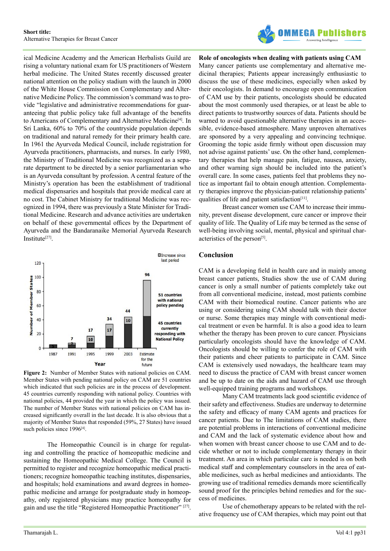

ical Medicine Academy and the American Herbalists Guild are rising a voluntary national exam for US practitioners of Western herbal medicine. The United States recently discussed greater national attention on the policy stadium with the launch in 2000 of the White House Commission on Complementary and Alternative Medicine Policy. The commission's command was to provide "legislative and administrative recommendations for guaranteeing that public policy take full advantage of the benefits to Americans of Complementary and Alternative Medicine<sup>[4]</sup>. In Sri Lanka, 60% to 70% of the countryside population depends on traditional and natural remedy for their primary health care. In 1961 the Ayurveda Medical Council, include registration for Ayurveda practitioners, pharmacists, and nurses. In early 1980, the Ministry of Traditional Medicine was recognized as a separate department to be directed by a senior parliamentarian who is an Ayurveda consultant by profession. A central feature of the Ministry's operation has been the establishment of traditional medical dispensaries and hospitals that provide medical care at no cost. The Cabinet Ministry for traditional Medicine was recognized in 1994, there was previously a State Minister for Traditional Medicine. Research and advance activities are undertaken on behalf of these governmental offices by the Department of Ayurveda and the Bandaranaike Memorial Ayurveda Research Institute<sup>[\[27\]](#page-5-24)</sup>.



Figure 2: Number of Member States with national policies on CAM. Member States with pending national policy on CAM are 51 countries which indicated that such policies are in the process of development. 45 countries currently responding with national policy. Countries with national policies, 44 provided the year in which the policy was issued. The number of Member States with national policies on CAM has increased significantly overall in the last decade. It is also obvious that a majority of Member States that responded (59%, 27 States) have issued such policies since 1996<sup>[4]</sup>.

The Homeopathic Council is in charge for regulating and controlling the practice of homeopathic medicine and sustaining the Homeopathic Medical College. The Council is permitted to register and recognize homeopathic medical practitioners; recognize homeopathic teaching institutes, dispensaries, and hospitals; hold examinations and award degrees in homeopathic medicine and arrange for postgraduate study in homeopathy, only registered physicians may practice homeopathy for gain and use the title "Registered Homeopathic Practitioner" [\[27\]](#page-5-24).

## **Role of oncologists when dealing with patients using CAM**

Many cancer patients use complementary and alternative medicinal therapies; Patients appear increasingly enthusiastic to discuss the use of these medicines, especially when asked by their oncologists. In demand to encourage open communication of CAM use by their patients, oncologists should be educated about the most commonly used therapies, or at least be able to direct patients to trustworthy sources of data. Patients should be warned to avoid questionable alternative therapies in an accessible, evidence-based atmosphere. Many unproven alternatives are sponsored by a very appealing and convincing technique. Grooming the topic aside firmly without open discussion may not advise against patients' use. On the other hand, complementary therapies that help manage pain, fatigue, nausea, anxiety, and other warning sign should be included into the patient's overall care. In some cases, patients feel that problems they notice as important fail to obtain enough attention. Complementary therapies improve the physician-patient relationship patients' qualities of life and patient satisfaction<sup>[\[11\]](#page-5-10)</sup>.

Breast cancer women use CAM to increase their immunity, prevent disease development, cure cancer or improve their quality of life. The Quality of Life may be termed as the sense of well-being involving social, mental, physical and spiritual characteristics of the perso[n\[5\]](#page-5-4).

## **Conclusion**

CAM is a developing field in health care and in mainly among breast cancer patients, Studies show the use of CAM during cancer is only a small number of patients completely take out from all conventional medicine, instead, most patients combine CAM with their biomedical routine. Cancer patients who are using or considering using CAM should talk with their doctor or nurse. Some therapies may mingle with conventional medical treatment or even be harmful. It is also a good idea to learn whether the therapy has been proven to cure cancer. Physicians particularly oncologists should have the knowledge of CAM. Oncologists should be willing to confer the role of CAM with their patients and cheer patients to participate in CAM. Since CAM is extensively used nowadays, the healthcare team may need to discuss the practice of CAM with breast cancer women and be up to date on the aids and hazard of CAM use through well-equipped training programs and workshops.

Many CAM treatments lack good scientific evidence of their safety and effectiveness. Studies are underway to determine the safety and efficacy of many CAM agents and practices for cancer patients. Due to The limitations of CAM studies, there are potential problems in interactions of conventional medicine and CAM and the lack of systematic evidence about how and when women with breast cancer choose to use CAM and to decide whether or not to include complementary therapy in their treatment. An area in which particular care is needed is on both medical staff and complementary counselors in the area of eatable medicines, such as herbal medicines and antioxidants. The growing use of traditional remedies demands more scientifically sound proof for the principles behind remedies and for the success of medicines.

Use of chemotherapy appears to be related with the relative frequency use of CAM therapies, which may point out that